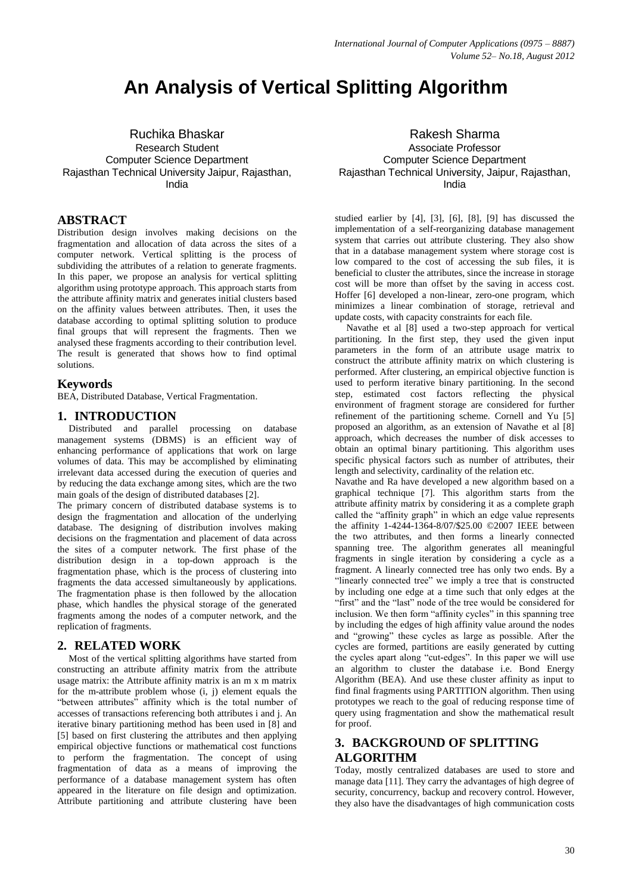# **An Analysis of Vertical Splitting Algorithm**

Ruchika Bhaskar Research Student Computer Science Department Rajasthan Technical University Jaipur, Rajasthan, India

#### **ABSTRACT**

Distribution design involves making decisions on the fragmentation and allocation of data across the sites of a computer network. Vertical splitting is the process of subdividing the attributes of a relation to generate fragments. In this paper, we propose an analysis for vertical splitting algorithm using prototype approach. This approach starts from the attribute affinity matrix and generates initial clusters based on the affinity values between attributes. Then, it uses the database according to optimal splitting solution to produce final groups that will represent the fragments. Then we analysed these fragments according to their contribution level. The result is generated that shows how to find optimal solutions.

#### **Keywords**

BEA, Distributed Database, Vertical Fragmentation.

#### **1. INTRODUCTION**

Distributed and parallel processing on database management systems (DBMS) is an efficient way of enhancing performance of applications that work on large volumes of data. This may be accomplished by eliminating irrelevant data accessed during the execution of queries and by reducing the data exchange among sites, which are the two main goals of the design of distributed databases [2].

The primary concern of distributed database systems is to design the fragmentation and allocation of the underlying database. The designing of distribution involves making decisions on the fragmentation and placement of data across the sites of a computer network. The first phase of the distribution design in a top-down approach is the fragmentation phase, which is the process of clustering into fragments the data accessed simultaneously by applications. The fragmentation phase is then followed by the allocation phase, which handles the physical storage of the generated fragments among the nodes of a computer network, and the replication of fragments.

## **2. RELATED WORK**

Most of the vertical splitting algorithms have started from constructing an attribute affinity matrix from the attribute usage matrix: the Attribute affinity matrix is an m x m matrix for the m-attribute problem whose (i, j) element equals the "between attributes" affinity which is the total number of accesses of transactions referencing both attributes i and j. An iterative binary partitioning method has been used in [8] and [5] based on first clustering the attributes and then applying empirical objective functions or mathematical cost functions to perform the fragmentation. The concept of using fragmentation of data as a means of improving the performance of a database management system has often appeared in the literature on file design and optimization. Attribute partitioning and attribute clustering have been

Rakesh Sharma Associate Professor Computer Science Department Rajasthan Technical University, Jaipur, Rajasthan, India

studied earlier by [4], [3], [6], [8], [9] has discussed the implementation of a self-reorganizing database management system that carries out attribute clustering. They also show that in a database management system where storage cost is low compared to the cost of accessing the sub files, it is beneficial to cluster the attributes, since the increase in storage cost will be more than offset by the saving in access cost. Hoffer [6] developed a non-linear, zero-one program, which minimizes a linear combination of storage, retrieval and update costs, with capacity constraints for each file.

Navathe et al [8] used a two-step approach for vertical partitioning. In the first step, they used the given input parameters in the form of an attribute usage matrix to construct the attribute affinity matrix on which clustering is performed. After clustering, an empirical objective function is used to perform iterative binary partitioning. In the second step, estimated cost factors reflecting the physical environment of fragment storage are considered for further refinement of the partitioning scheme. Cornell and Yu [5] proposed an algorithm, as an extension of Navathe et al [8] approach, which decreases the number of disk accesses to obtain an optimal binary partitioning. This algorithm uses specific physical factors such as number of attributes, their length and selectivity, cardinality of the relation etc.

Navathe and Ra have developed a new algorithm based on a graphical technique [7]. This algorithm starts from the attribute affinity matrix by considering it as a complete graph called the "affinity graph" in which an edge value represents the affinity 1-4244-1364-8/07/\$25.00 ©2007 IEEE between the two attributes, and then forms a linearly connected spanning tree. The algorithm generates all meaningful fragments in single iteration by considering a cycle as a fragment. A linearly connected tree has only two ends. By a "linearly connected tree" we imply a tree that is constructed by including one edge at a time such that only edges at the "first" and the "last" node of the tree would be considered for inclusion. We then form "affinity cycles" in this spanning tree by including the edges of high affinity value around the nodes and "growing" these cycles as large as possible. After the cycles are formed, partitions are easily generated by cutting the cycles apart along "cut-edges". In this paper we will use an algorithm to cluster the database i.e. Bond Energy Algorithm (BEA). And use these cluster affinity as input to find final fragments using PARTITION algorithm. Then using prototypes we reach to the goal of reducing response time of query using fragmentation and show the mathematical result for proof.

## **3. BACKGROUND OF SPLITTING ALGORITHM**

Today, mostly centralized databases are used to store and manage data [11]. They carry the advantages of high degree of security, concurrency, backup and recovery control. However, they also have the disadvantages of high communication costs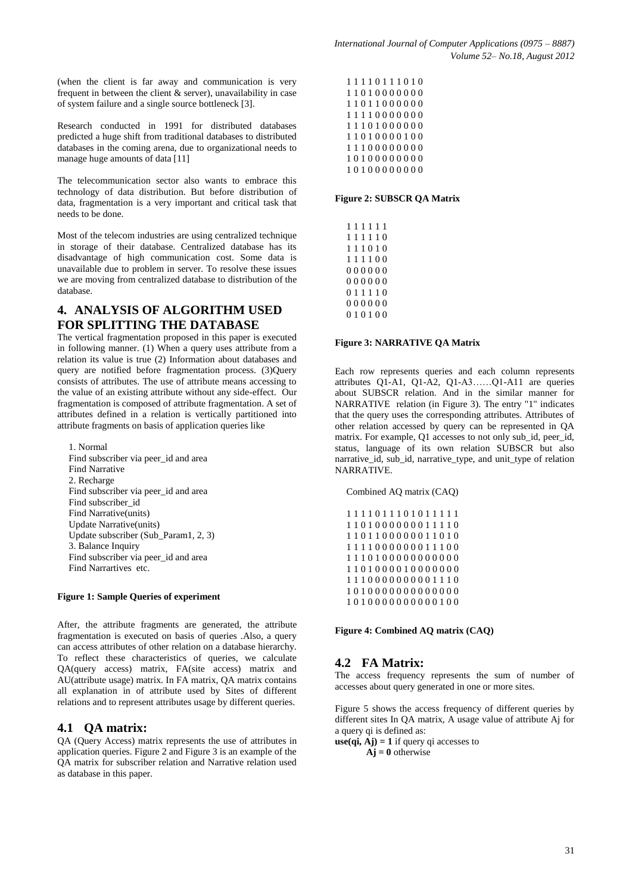(when the client is far away and communication is very frequent in between the client & server), unavailability in case of system failure and a single source bottleneck [3].

Research conducted in 1991 for distributed databases predicted a huge shift from traditional databases to distributed databases in the coming arena, due to organizational needs to manage huge amounts of data [11]

The telecommunication sector also wants to embrace this technology of data distribution. But before distribution of data, fragmentation is a very important and critical task that needs to be done.

Most of the telecom industries are using centralized technique in storage of their database. Centralized database has its disadvantage of high communication cost. Some data is unavailable due to problem in server. To resolve these issues we are moving from centralized database to distribution of the database.

## **4. ANALYSIS OF ALGORITHM USED FOR SPLITTING THE DATABASE**

The vertical fragmentation proposed in this paper is executed in following manner. (1) When a query uses attribute from a relation its value is true (2) Information about databases and query are notified before fragmentation process. (3)Query consists of attributes. The use of attribute means accessing to the value of an existing attribute without any side-effect. Our fragmentation is composed of attribute fragmentation. A set of attributes defined in a relation is vertically partitioned into attribute fragments on basis of application queries like

1. Normal Find subscriber via peer\_id and area Find Narrative 2. Recharge Find subscriber via peer\_id and area Find subscriber id Find Narrative(units) Update Narrative(units) Update subscriber (Sub\_Param1, 2, 3) 3. Balance Inquiry Find subscriber via peer\_id and area Find Narrartives etc.

#### **Figure 1: Sample Queries of experiment**

After, the attribute fragments are generated, the attribute fragmentation is executed on basis of queries .Also, a query can access attributes of other relation on a database hierarchy. To reflect these characteristics of queries, we calculate QA(query access) matrix, FA(site access) matrix and AU(attribute usage) matrix. In FA matrix, QA matrix contains all explanation in of attribute used by Sites of different relations and to represent attributes usage by different queries.

## **4.1 QA matrix:**

QA (Query Access) matrix represents the use of attributes in application queries. Figure 2 and Figure 3 is an example of the QA matrix for subscriber relation and Narrative relation used as database in this paper.

|  |  |  |  | 11110111010 |  |
|--|--|--|--|-------------|--|
|  |  |  |  | 11010000000 |  |
|  |  |  |  | 11011000000 |  |
|  |  |  |  | 11110000000 |  |
|  |  |  |  | 11101000000 |  |
|  |  |  |  | 11010000100 |  |
|  |  |  |  | 11100000000 |  |
|  |  |  |  | 10100000000 |  |
|  |  |  |  | 10100000000 |  |

**Figure 2: SUBSCR QA Matrix**

#### **Figure 3: NARRATIVE QA Matrix**

Each row represents queries and each column represents attributes Q1-A1, Q1-A2, Q1-A3……Q1-A11 are queries about SUBSCR relation. And in the similar manner for NARRATIVE relation (in Figure 3). The entry "1" indicates that the query uses the corresponding attributes. Attributes of other relation accessed by query can be represented in QA matrix. For example, Q1 accesses to not only sub\_id, peer\_id, status, language of its own relation SUBSCR but also narrative\_id, sub\_id, narrative\_type, and unit\_type of relation NARRATIVE.

Combined AQ matrix (CAQ)

1 1 1 1 0 1 1 1 0 1 0 1 1 1 1 1 1 1 0 1 0 0 0 0 0 0 0 1 1 1 1 0 1 1 0 1 1 0 0 0 0 0 0 1 1 0 1 0 1 1 1 1 0 0 0 0 0 0 0 1 1 1 0 0 1 1 1 0 1 0 0 0 0 0 0 0 0 0 0 0 1 1 0 1 0 0 0 0 1 0 0 0 0 0 0 0 1 1 1 0 0 0 0 0 0 0 0 0 1 1 1 0 1 0 1 0 0 0 0 0 0 0 0 0 0 0 0 0 1 0 1 0 0 0 0 0 0 0 0 0 0 1 0 0

**Figure 4: Combined AQ matrix (CAQ)**

## **4.2 FA Matrix:**

The access frequency represents the sum of number of accesses about query generated in one or more sites.

Figure 5 shows the access frequency of different queries by different sites In QA matrix, A usage value of attribute Aj for a query qi is defined as:

 $use(qi, Aj) = 1$  if query qi accesses to

 $\mathbf{A}$ **j** = 0 otherwise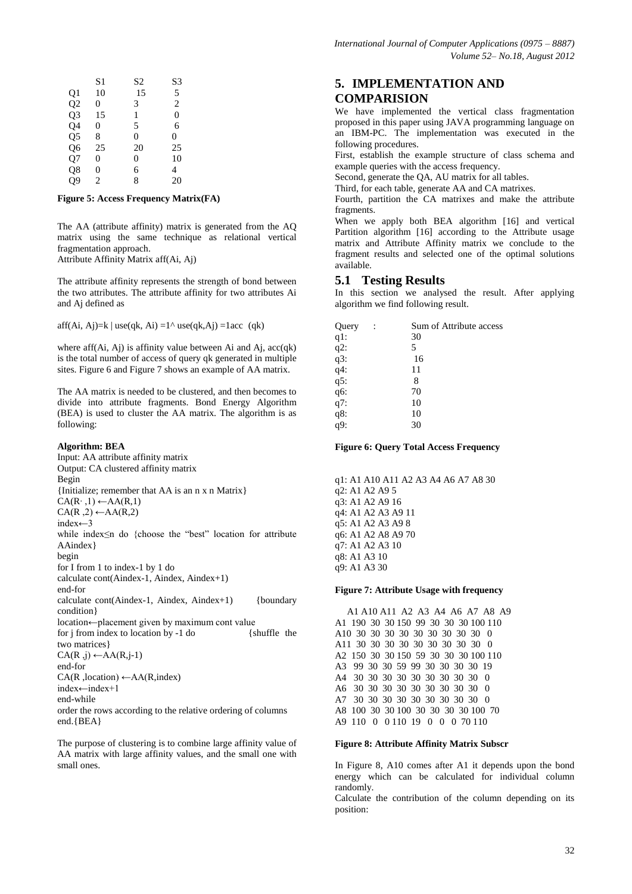|                | S1             | S2 | S3             |
|----------------|----------------|----|----------------|
| Q1             | 10             | 15 | 5              |
| Q <sub>2</sub> | 0              | 3  | $\overline{c}$ |
| Q <sub>3</sub> | 15             | 1  | $\Omega$       |
| Q4             | 0              | 5  | 6              |
| Q <sub>5</sub> | 8              | 0  | 0              |
| Q6             | 25             | 20 | 25             |
| Q7             | 0              | 0  | 10             |
| Q8             | 0              | 6  | 4              |
| Q9             | $\overline{2}$ | 8  | 20             |

#### **Figure 5: Access Frequency Matrix(FA)**

The AA (attribute affinity) matrix is generated from the AQ matrix using the same technique as relational vertical fragmentation approach. Attribute Affinity Matrix aff(Ai, Aj)

The attribute affinity represents the strength of bond between

the two attributes. The attribute affinity for two attributes Ai and Aj defined as

aff(Ai, Aj)=k | use(qk, Ai) =1^ use(qk,Aj) =1acc (qk)

where aff $(Ai, Aj)$  is affinity value between Ai and  $Aj$ ,  $acc(qk)$ is the total number of access of query qk generated in multiple sites. Figure 6 and Figure 7 shows an example of AA matrix.

The AA matrix is needed to be clustered, and then becomes to divide into attribute fragments. Bond Energy Algorithm (BEA) is used to cluster the AA matrix. The algorithm is as following:

#### **Algorithm: BEA**

Input: AA attribute affinity matrix Output: CA clustered affinity matrix Begin {Initialize; remember that AA is an n x n Matrix}  $CA(R<sup>·</sup>,1) \leftarrow AA(R,1)$  $CA(R, 2) \leftarrow AA(R, 2)$ index←3 while index≤n do {choose the "best" location for attribute AAindex} begin for I from 1 to index-1 by 1 do calculate cont(Aindex-1, Aindex, Aindex+1) end-for calculate cont(Aindex-1, Aindex, Aindex+1) {boundary condition} location←placement given by maximum cont value<br>for j from index to location by -1 do {shuffle the for  $j$  from index to location by -1 do two matrices}  $CA(R, j) \leftarrow AA(R, j-1)$ end-for CA(R ,location) ←AA(R,index) index←index+1 end-while order the rows according to the relative ordering of columns end.{BEA}

The purpose of clustering is to combine large affinity value of AA matrix with large affinity values, and the small one with small ones.

## **5. IMPLEMENTATION AND COMPARISION**

We have implemented the vertical class fragmentation proposed in this paper using JAVA programming language on an IBM-PC. The implementation was executed in the following procedures.

First, establish the example structure of class schema and example queries with the access frequency.

Second, generate the QA, AU matrix for all tables.

Third, for each table, generate AA and CA matrixes.

Fourth, partition the CA matrixes and make the attribute fragments.

When we apply both BEA algorithm [16] and vertical Partition algorithm [16] according to the Attribute usage matrix and Attribute Affinity matrix we conclude to the fragment results and selected one of the optimal solutions available.

## **5.1 Testing Results**

In this section we analysed the result. After applying algorithm we find following result.

| Query             | Sum of Attribute access |
|-------------------|-------------------------|
| $q1$ :            | 30                      |
| $q2$ :            | 5                       |
| $q3$ :            | 16                      |
| q4:               | 11                      |
| q5:               | 8                       |
| q6:               | 70                      |
| q7:               | 10                      |
| q8:               | 10                      |
| $q\overline{9}$ : | 30                      |
|                   |                         |

**Figure 6: Query Total Access Frequency**

q1: A1 A10 A11 A2 A3 A4 A6 A7 A8 30 q2: A1 A2 A9 5 q3: A1 A2 A9 16 q4: A1 A2 A3 A9 11 q5: A1 A2 A3 A9 8 q6: A1 A2 A8 A9 70 q7: A1 A2 A3 10 q8: A1 A3 10 q9: A1 A3 30

#### **Figure 7: Attribute Usage with frequency**

 A1 A10 A11 A2 A3 A4 A6 A7 A8 A9 A1 190 30 30 150 99 30 30 30 100 110 A10 30 30 30 30 30 30 30 30 30 0 A11 30 30 30 30 30 30 30 30 30 0 A2 150 30 30 150 59 30 30 30 100 110 A3 99 30 30 59 99 30 30 30 30 19 A4 30 30 30 30 30 30 30 30 30 0 A6 30 30 30 30 30 30 30 30 30 0 A7 30 30 30 30 30 30 30 30 30 0 A8 100 30 30 100 30 30 30 30 100 70 A9 110 0 0 110 19 0 0 0 70 110

#### **Figure 8: Attribute Affinity Matrix Subscr**

In Figure 8, A10 comes after A1 it depends upon the bond energy which can be calculated for individual column randomly.

Calculate the contribution of the column depending on its position: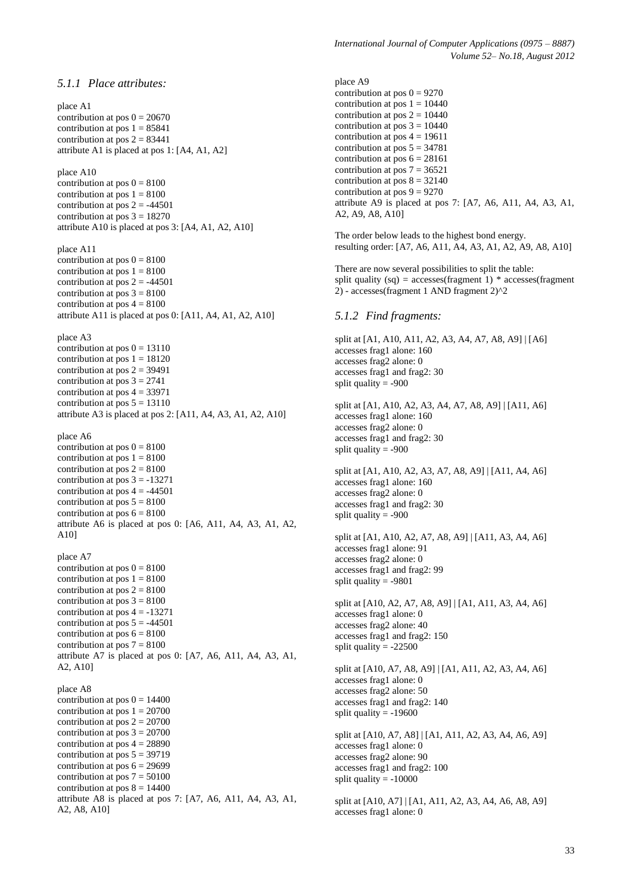*5.1.1 Place attributes:* place A1 contribution at pos  $0 = 20670$ contribution at pos  $1 = 85841$ contribution at pos  $2 = 83441$ attribute A1 is placed at pos 1: [A4, A1, A2] place A10 contribution at pos  $0 = 8100$ contribution at pos  $1 = 8100$ contribution at pos  $2 = -44501$ contribution at pos  $3 = 18270$ attribute A10 is placed at pos 3: [A4, A1, A2, A10] place A11 contribution at pos  $0 = 8100$ contribution at pos  $1 = 8100$ contribution at pos  $2 = -44501$ contribution at pos  $3 = 8100$ contribution at pos  $4 = 8100$ attribute A11 is placed at pos 0: [A11, A4, A1, A2, A10] place A3 contribution at pos  $0 = 13110$ contribution at pos  $1 = 18120$ contribution at pos  $2 = 39491$ contribution at pos  $3 = 2741$ contribution at pos  $4 = 33971$ contribution at pos  $5 = 13110$ attribute A3 is placed at pos 2: [A11, A4, A3, A1, A2, A10] place A6 contribution at pos  $0 = 8100$ contribution at pos  $1 = 8100$ contribution at pos  $2 = 8100$ contribution at pos  $3 = -13271$ contribution at pos  $4 = -44501$ contribution at pos  $5 = 8100$ contribution at pos  $6 = 8100$ attribute A6 is placed at pos 0: [A6, A11, A4, A3, A1, A2, A10] place A7 contribution at pos  $0 = 8100$ contribution at pos  $1 = 8100$ contribution at pos  $2 = 8100$ contribution at pos  $3 = 8100$ contribution at pos  $4 = -13271$ contribution at pos  $5 = -44501$ contribution at pos  $6 = 8100$ contribution at pos  $7 = 8100$ attribute A7 is placed at pos 0: [A7, A6, A11, A4, A3, A1, A2, A10] place A8 contribution at pos  $0 = 14400$ contribution at pos  $1 = 20700$ contribution at pos  $2 = 20700$ contribution at pos  $3 = 20700$ contribution at pos  $4 = 28890$ contribution at pos  $5 = 39719$ contribution at pos  $6 = 29699$ contribution at pos  $7 = 50100$ contribution at pos  $8 = 14400$ attribute A8 is placed at pos 7: [A7, A6, A11, A4, A3, A1, A2, A8, A10]

place A9 contribution at pos  $0 = 9270$ contribution at pos  $1 = 10440$ contribution at pos  $2 = 10440$ contribution at pos  $3 = 10440$ contribution at pos  $4 = 19611$ contribution at pos  $5 = 34781$ contribution at pos  $6 = 28161$ contribution at pos  $7 = 36521$ contribution at pos  $8 = 32140$ contribution at pos  $9 = 9270$ attribute A9 is placed at pos 7: [A7, A6, A11, A4, A3, A1, A2, A9, A8, A10] The order below leads to the highest bond energy. resulting order: [A7, A6, A11, A4, A3, A1, A2, A9, A8, A10] There are now several possibilities to split the table: split quality (sq) = accesses(fragment 1)  $*$  accesses(fragment 2) - accesses(fragment 1 AND fragment 2)^2 *5.1.2 Find fragments:* split at [A1, A10, A11, A2, A3, A4, A7, A8, A9] | [A6] accesses frag1 alone: 160 accesses frag2 alone: 0 accesses frag1 and frag2: 30 split quality  $= -900$ split at [A1, A10, A2, A3, A4, A7, A8, A9] | [A11, A6] accesses frag1 alone: 160 accesses frag2 alone: 0 accesses frag1 and frag2: 30 split quality  $= -900$ split at [A1, A10, A2, A3, A7, A8, A9] | [A11, A4, A6] accesses frag1 alone: 160 accesses frag2 alone: 0 accesses frag1 and frag2: 30 split quality  $= -900$ split at [A1, A10, A2, A7, A8, A9] | [A11, A3, A4, A6] accesses frag1 alone: 91 accesses frag2 alone: 0 accesses frag1 and frag2: 99 split quality  $= -9801$ split at [A10, A2, A7, A8, A9] | [A1, A11, A3, A4, A6] accesses frag1 alone: 0 accesses frag2 alone: 40 accesses frag1 and frag2: 150 split quality  $= -22500$ split at [A10, A7, A8, A9] | [A1, A11, A2, A3, A4, A6] accesses frag1 alone: 0 accesses frag2 alone: 50 accesses frag1 and frag2: 140 split quality  $= -19600$ split at [A10, A7, A8] | [A1, A11, A2, A3, A4, A6, A9] accesses frag1 alone: 0 accesses frag2 alone: 90 accesses frag1 and frag2: 100 split quality  $= -10000$ split at [A10, A7] | [A1, A11, A2, A3, A4, A6, A8, A9] accesses frag1 alone: 0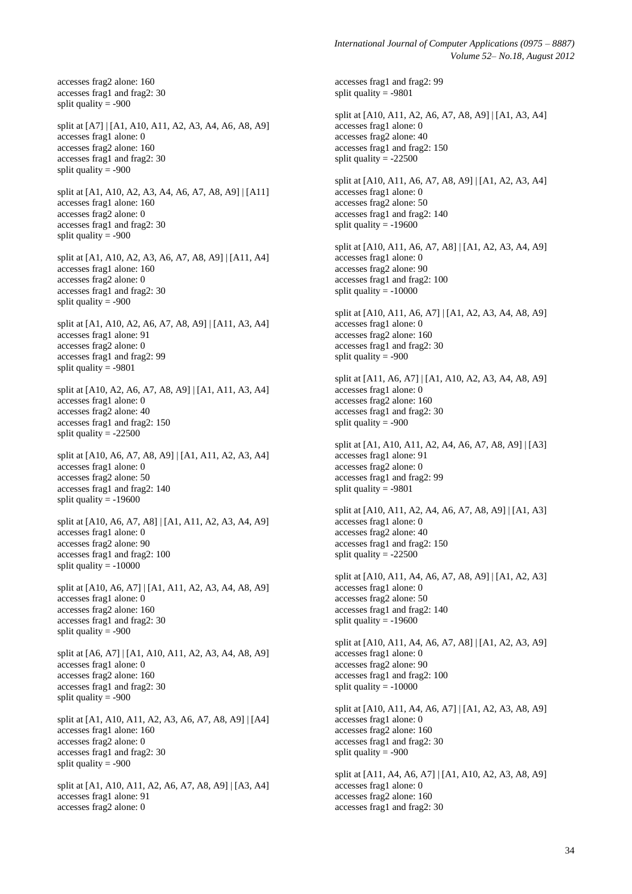*International Journal of Computer Applications (0975 – 8887) Volume 52– No.18, August 2012*

accesses frag2 alone: 160 accesses frag1 and frag2: 30 split quality  $= -900$ split at [A7] | [A1, A10, A11, A2, A3, A4, A6, A8, A9] accesses frag1 alone: 0 accesses frag2 alone: 160 accesses frag1 and frag2: 30 split quality  $= -900$ split at [A1, A10, A2, A3, A4, A6, A7, A8, A9] | [A11] accesses frag1 alone: 160 accesses frag2 alone: 0 accesses frag1 and frag2: 30 split quality  $= -900$ split at [A1, A10, A2, A3, A6, A7, A8, A9] | [A11, A4] accesses frag1 alone: 160 accesses frag2 alone: 0 accesses frag1 and frag2: 30 split quality  $= -900$ split at [A1, A10, A2, A6, A7, A8, A9] | [A11, A3, A4] accesses frag1 alone: 91 accesses frag2 alone: 0 accesses frag1 and frag2: 99 split quality  $= -9801$ split at [A10, A2, A6, A7, A8, A9] | [A1, A11, A3, A4] accesses frag1 alone: 0 accesses frag2 alone: 40 accesses frag1 and frag2: 150 split quality  $= -22500$ split at [A10, A6, A7, A8, A9] | [A1, A11, A2, A3, A4] accesses frag1 alone: 0 accesses frag2 alone: 50 accesses frag1 and frag2: 140 split quality  $= -19600$ split at [A10, A6, A7, A8] | [A1, A11, A2, A3, A4, A9] accesses frag1 alone: 0 accesses frag2 alone: 90 accesses frag1 and frag2: 100 split quality  $= -10000$ split at [A10, A6, A7] | [A1, A11, A2, A3, A4, A8, A9] accesses frag1 alone: 0

accesses frag2 alone: 160 accesses frag1 and frag2: 30 split quality  $= -900$ 

split at [A6, A7] | [A1, A10, A11, A2, A3, A4, A8, A9] accesses frag1 alone: 0 accesses frag2 alone: 160 accesses frag1 and frag2: 30 split quality  $= -900$ 

split at [A1, A10, A11, A2, A3, A6, A7, A8, A9] | [A4] accesses frag1 alone: 160 accesses frag2 alone: 0 accesses frag1 and frag2: 30 split quality  $= -900$ 

split at [A1, A10, A11, A2, A6, A7, A8, A9] | [A3, A4] accesses frag1 alone: 91 accesses frag2 alone: 0

accesses frag1 and frag2: 99 split quality = -9801 split at [A10, A11, A2, A6, A7, A8, A9] | [A1, A3, A4] accesses frag1 alone: 0 accesses frag2 alone: 40 accesses frag1 and frag2: 150 split quality = -22500 split at [A10, A11, A6, A7, A8, A9] | [A1, A2, A3, A4] accesses frag1 alone: 0 accesses frag2 alone: 50 accesses frag1 and frag2: 140 split quality = -19600 split at [A10, A11, A6, A7, A8] | [A1, A2, A3, A4, A9] accesses frag1 alone: 0 accesses frag2 alone: 90 accesses frag1 and frag2: 100 split quality  $= -10000$ split at [A10, A11, A6, A7] | [A1, A2, A3, A4, A8, A9] accesses frag1 alone: 0 accesses frag2 alone: 160 accesses frag1 and frag2: 30 split quality  $= -900$ split at [A11, A6, A7] | [A1, A10, A2, A3, A4, A8, A9] accesses frag1 alone: 0 accesses frag2 alone: 160 accesses frag1 and frag2: 30 split quality  $= -900$ split at [A1, A10, A11, A2, A4, A6, A7, A8, A9] | [A3] accesses frag1 alone: 91 accesses frag2 alone: 0 accesses frag1 and frag2: 99 split quality  $= -9801$ split at [A10, A11, A2, A4, A6, A7, A8, A9] | [A1, A3] accesses frag1 alone: 0 accesses frag2 alone: 40 accesses frag1 and frag2: 150 split quality  $= -22500$ split at [A10, A11, A4, A6, A7, A8, A9] | [A1, A2, A3] accesses frag1 alone: 0 accesses frag2 alone: 50 accesses frag1 and frag2: 140 split quality  $= -19600$ split at [A10, A11, A4, A6, A7, A8] | [A1, A2, A3, A9] accesses frag1 alone: 0 accesses frag2 alone: 90 accesses frag1 and frag2: 100 split quality  $= -10000$ split at [A10, A11, A4, A6, A7] | [A1, A2, A3, A8, A9] accesses frag1 alone: 0 accesses frag2 alone: 160 accesses frag1 and frag2: 30 split quality = -900 split at [A11, A4, A6, A7] | [A1, A10, A2, A3, A8, A9] accesses frag1 alone: 0 accesses frag2 alone: 160 accesses frag1 and frag2: 30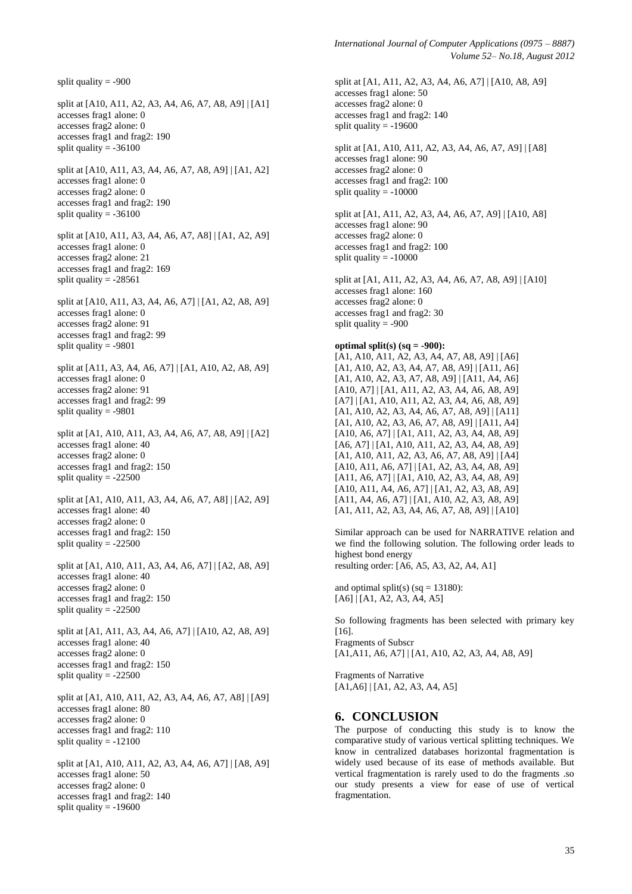split quality  $= -900$ split at [A10, A11, A2, A3, A4, A6, A7, A8, A9] | [A1] accesses frag1 alone: 0 accesses frag2 alone: 0 accesses frag1 and frag2: 190 split quality  $= -36100$ split at [A10, A11, A3, A4, A6, A7, A8, A9] | [A1, A2] accesses frag1 alone: 0 accesses frag2 alone: 0 accesses frag1 and frag2: 190 split quality  $= -36100$ split at [A10, A11, A3, A4, A6, A7, A8] | [A1, A2, A9] accesses frag1 alone: 0 accesses frag2 alone: 21 accesses frag1 and frag2: 169 split quality  $= -28561$ split at [A10, A11, A3, A4, A6, A7] | [A1, A2, A8, A9] accesses frag1 alone: 0 accesses frag2 alone: 91 accesses frag1 and frag2: 99 split quality  $= -9801$ split at [A11, A3, A4, A6, A7] | [A1, A10, A2, A8, A9] accesses frag1 alone: 0 accesses frag2 alone: 91 accesses frag1 and frag2: 99 split quality  $= -9801$ split at [A1, A10, A11, A3, A4, A6, A7, A8, A9] | [A2] accesses frag1 alone: 40 accesses frag2 alone: 0 accesses frag1 and frag2: 150 split quality  $= -22500$ split at [A1, A10, A11, A3, A4, A6, A7, A8] | [A2, A9] accesses frag1 alone: 40 accesses frag2 alone: 0 accesses frag1 and frag2: 150 split quality  $= -22500$ split at [A1, A10, A11, A3, A4, A6, A7] | [A2, A8, A9] accesses frag1 alone: 40 accesses frag2 alone: 0 accesses frag1 and frag2: 150 split quality  $= -22500$ split at [A1, A11, A3, A4, A6, A7] | [A10, A2, A8, A9] accesses frag1 alone: 40 accesses frag2 alone: 0 accesses frag1 and frag2: 150 split quality  $= -22500$ split at [A1, A10, A11, A2, A3, A4, A6, A7, A8] | [A9] accesses frag1 alone: 80 accesses frag2 alone: 0 accesses frag1 and frag2: 110 split quality  $= -12100$ split at [A1, A10, A11, A2, A3, A4, A6, A7] | [A8, A9] accesses frag1 alone: 50 accesses frag2 alone: 0 accesses frag1 and frag2: 140

split quality  $= -19600$ 

split at [A1, A11, A2, A3, A4, A6, A7] | [A10, A8, A9] accesses frag1 alone: 50 accesses frag2 alone: 0 accesses frag1 and frag2: 140 split quality  $= -19600$ split at [A1, A10, A11, A2, A3, A4, A6, A7, A9] | [A8]

accesses frag1 alone: 90 accesses frag2 alone: 0 accesses frag1 and frag2: 100 split quality  $= -10000$ 

split at [A1, A11, A2, A3, A4, A6, A7, A9] | [A10, A8] accesses frag1 alone: 90 accesses frag2 alone: 0 accesses frag1 and frag2: 100 split quality  $= -10000$ 

split at [A1, A11, A2, A3, A4, A6, A7, A8, A9] | [A10] accesses frag1 alone: 160 accesses frag2 alone: 0 accesses frag1 and frag2: 30 split quality = -900

#### **optimal split(s) (sq = -900):**

[A1, A10, A11, A2, A3, A4, A7, A8, A9] | [A6] [A1, A10, A2, A3, A4, A7, A8, A9] | [A11, A6] [A1, A10, A2, A3, A7, A8, A9] | [A11, A4, A6] [A10, A7] | [A1, A11, A2, A3, A4, A6, A8, A9] [A7] | [A1, A10, A11, A2, A3, A4, A6, A8, A9] [A1, A10, A2, A3, A4, A6, A7, A8, A9] | [A11] [A1, A10, A2, A3, A6, A7, A8, A9] | [A11, A4] [A10, A6, A7] | [A1, A11, A2, A3, A4, A8, A9] [A6, A7] | [A1, A10, A11, A2, A3, A4, A8, A9] [A1, A10, A11, A2, A3, A6, A7, A8, A9] | [A4] [A10, A11, A6, A7] | [A1, A2, A3, A4, A8, A9] [A11, A6, A7] | [A1, A10, A2, A3, A4, A8, A9] [A10, A11, A4, A6, A7] | [A1, A2, A3, A8, A9] [A11, A4, A6, A7] | [A1, A10, A2, A3, A8, A9] [A1, A11, A2, A3, A4, A6, A7, A8, A9] | [A10]

Similar approach can be used for NARRATIVE relation and we find the following solution. The following order leads to highest bond energy resulting order: [A6, A5, A3, A2, A4, A1]

and optimal split(s) (sq =  $13180$ ):  $[A6]$   $[A1, A2, A3, A4, A5]$ 

So following fragments has been selected with primary key [16]. Fragments of Subscr [A1,A11, A6, A7] | [A1, A10, A2, A3, A4, A8, A9]

Fragments of Narrative [A1,A6] | [A1, A2, A3, A4, A5]

## **6. CONCLUSION**

The purpose of conducting this study is to know the comparative study of various vertical splitting techniques. We know in centralized databases horizontal fragmentation is widely used because of its ease of methods available. But vertical fragmentation is rarely used to do the fragments .so our study presents a view for ease of use of vertical fragmentation.